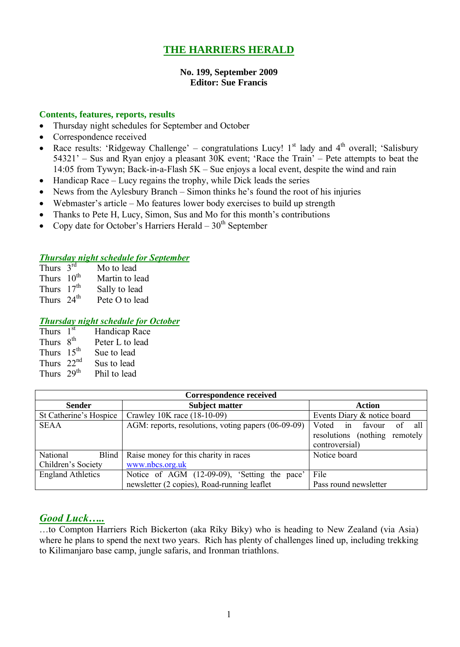# **THE HARRIERS HERALD**

## **No. 199, September 2009 Editor: Sue Francis**

#### **Contents, features, reports, results**

- Thursday night schedules for September and October
- Correspondence received
- Race results: 'Ridgeway Challenge' congratulations Lucy!  $1<sup>st</sup>$  lady and  $4<sup>th</sup>$  overall; 'Salisbury 54321' – Sus and Ryan enjoy a pleasant 30K event; 'Race the Train' – Pete attempts to beat the 14:05 from Tywyn; Back-in-a-Flash 5K – Sue enjoys a local event, despite the wind and rain
- $\bullet$  Handicap Race Lucy regains the trophy, while Dick leads the series
- News from the Aylesbury Branch Simon thinks he's found the root of his injuries
- Webmaster's article Mo features lower body exercises to build up strength
- Thanks to Pete H, Lucy, Simon, Sus and Mo for this month's contributions
- Copy date for October's Harriers Herald  $30<sup>th</sup>$  September

#### *Thursday night schedule for September*

| Thurs $3^{rd}$  | Mo to lead     |
|-----------------|----------------|
| Thurs $10^{th}$ | Martin to lead |
| Thurs $17th$    | Sally to lead  |
| Thurs $24th$    | Pete O to lead |

## *Thursday night schedule for October*

| Thurs $1st$            | Handicap Race   |
|------------------------|-----------------|
| Thurs 8 <sup>th</sup>  | Peter L to lead |
| Thurs $15th$           | Sue to lead     |
| Thurs $22nd$           | Sus to lead     |
| Thurs 29 <sup>th</sup> | Phil to lead    |

| <b>Correspondence received</b>                                           |                                                     |                                 |  |  |  |
|--------------------------------------------------------------------------|-----------------------------------------------------|---------------------------------|--|--|--|
| <b>Sender</b>                                                            | <b>Subject matter</b>                               | Action                          |  |  |  |
| St Catherine's Hospice                                                   | Crawley 10K race (18-10-09)                         | Events Diary & notice board     |  |  |  |
| <b>SEAA</b>                                                              | AGM: reports, resolutions, voting papers (06-09-09) | Voted in<br>favour<br>all<br>0ſ |  |  |  |
|                                                                          |                                                     | resolutions (nothing remotely   |  |  |  |
|                                                                          |                                                     | controversial)                  |  |  |  |
| National<br>Blind                                                        | Raise money for this charity in races               | Notice board                    |  |  |  |
| Children's Society                                                       | www.nbcs.org.uk                                     |                                 |  |  |  |
| <b>England Athletics</b><br>Notice of AGM (12-09-09), 'Setting the pace' |                                                     | File                            |  |  |  |
|                                                                          | newsletter (2 copies), Road-running leaflet         | Pass round newsletter           |  |  |  |

## *Good Luck…..*

…to Compton Harriers Rich Bickerton (aka Riky Biky) who is heading to New Zealand (via Asia) where he plans to spend the next two years. Rich has plenty of challenges lined up, including trekking to Kilimanjaro base camp, jungle safaris, and Ironman triathlons.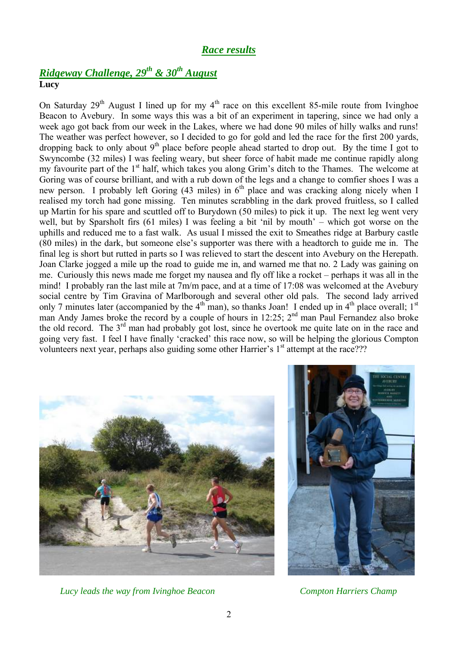## *Race results*

# *Ridgeway Challenge, 29th & 30th August* **Lucy**

On Saturday  $29<sup>th</sup>$  August I lined up for my  $4<sup>th</sup>$  race on this excellent 85-mile route from Ivinghoe Beacon to Avebury. In some ways this was a bit of an experiment in tapering, since we had only a week ago got back from our week in the Lakes, where we had done 90 miles of hilly walks and runs! The weather was perfect however, so I decided to go for gold and led the race for the first 200 yards, dropping back to only about  $9<sup>th</sup>$  place before people ahead started to drop out. By the time I got to Swyncombe (32 miles) I was feeling weary, but sheer force of habit made me continue rapidly along my favourite part of the 1<sup>st</sup> half, which takes you along Grim's ditch to the Thames. The welcome at Goring was of course brilliant, and with a rub down of the legs and a change to comfier shoes I was a new person. I probably left Goring  $(43 \text{ miles})$  in  $6^{\text{th}}$  place and was cracking along nicely when I realised my torch had gone missing. Ten minutes scrabbling in the dark proved fruitless, so I called up Martin for his spare and scuttled off to Burydown (50 miles) to pick it up. The next leg went very well, but by Sparsholt firs (61 miles) I was feeling a bit 'nil by mouth' – which got worse on the uphills and reduced me to a fast walk. As usual I missed the exit to Smeathes ridge at Barbury castle (80 miles) in the dark, but someone else's supporter was there with a headtorch to guide me in. The final leg is short but rutted in parts so I was relieved to start the descent into Avebury on the Herepath. Joan Clarke jogged a mile up the road to guide me in, and warned me that no. 2 Lady was gaining on me. Curiously this news made me forget my nausea and fly off like a rocket – perhaps it was all in the mind! I probably ran the last mile at 7m/m pace, and at a time of 17:08 was welcomed at the Avebury social centre by Tim Gravina of Marlborough and several other old pals. The second lady arrived only 7 minutes later (accompanied by the  $4<sup>th</sup>$  man), so thanks Joan! I ended up in  $4<sup>th</sup>$  place overall;  $1<sup>st</sup>$ man Andy James broke the record by a couple of hours in 12:25;  $2<sup>nd</sup>$  man Paul Fernandez also broke the old record. The 3<sup>rd</sup> man had probably got lost, since he overtook me quite late on in the race and going very fast. I feel I have finally 'cracked' this race now, so will be helping the glorious Compton volunteers next year, perhaps also guiding some other Harrier's 1<sup>st</sup> attempt at the race???



*Lucy leads the way from Ivinghoe Beacon Compton Harriers Champ*

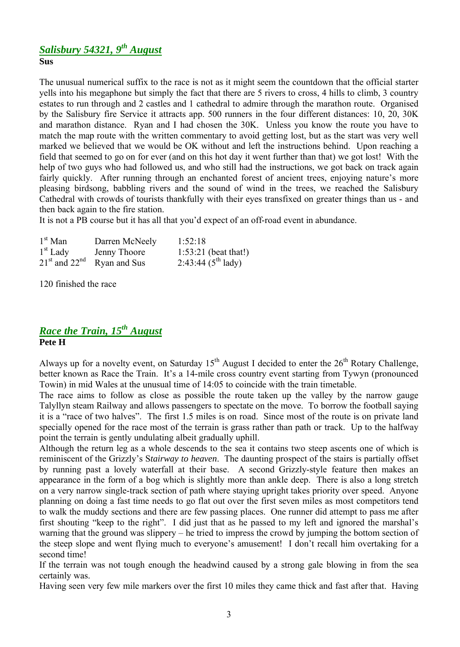## *Salisbury 54321, 9 th August* **Sus**

The unusual numerical suffix to the race is not as it might seem the countdown that the official starter yells into his megaphone but simply the fact that there are 5 rivers to cross, 4 hills to climb, 3 country estates to run through and 2 castles and 1 cathedral to admire through the marathon route. Organised by the Salisbury fire Service it attracts app. 500 runners in the four different distances: 10, 20, 30K and marathon distance. Ryan and I had chosen the 30K. Unless you know the route you have to match the map route with the written commentary to avoid getting lost, but as the start was very well marked we believed that we would be OK without and left the instructions behind. Upon reaching a field that seemed to go on for ever (and on this hot day it went further than that) we got lost! With the help of two guys who had followed us, and who still had the instructions, we got back on track again fairly quickly. After running through an enchanted forest of ancient trees, enjoying nature's more pleasing birdsong, babbling rivers and the sound of wind in the trees, we reached the Salisbury Cathedral with crowds of tourists thankfully with their eyes transfixed on greater things than us - and then back again to the fire station.

It is not a PB course but it has all that you'd expect of an off-road event in abundance.

| $1st$ Man  | Darren McNeely                 | 1:52:18                        |
|------------|--------------------------------|--------------------------------|
| $1st$ Lady | Jenny Thoore                   | $1:53:21$ (beat that!)         |
|            | $21st$ and $22nd$ Ryan and Sus | $2:43:44(5^{th} \text{ lady})$ |

120 finished the race

## *Race the Train, 15th August* **Pete H**

Always up for a novelty event, on Saturday  $15<sup>th</sup>$  August I decided to enter the  $26<sup>th</sup>$  Rotary Challenge, better known as Race the Train. It's a 14-mile cross country event starting from Tywyn (pronounced Towin) in mid Wales at the unusual time of 14:05 to coincide with the train timetable.

The race aims to follow as close as possible the route taken up the valley by the narrow gauge Talyllyn steam Railway and allows passengers to spectate on the move. To borrow the football saying it is a "race of two halves". The first 1.5 miles is on road. Since most of the route is on private land specially opened for the race most of the terrain is grass rather than path or track. Up to the halfway point the terrain is gently undulating albeit gradually uphill.

Although the return leg as a whole descends to the sea it contains two steep ascents one of which is reminiscent of the Grizzly's S*tairway to heaven*. The daunting prospect of the stairs is partially offset by running past a lovely waterfall at their base. A second Grizzly-style feature then makes an appearance in the form of a bog which is slightly more than ankle deep. There is also a long stretch on a very narrow single-track section of path where staying upright takes priority over speed. Anyone planning on doing a fast time needs to go flat out over the first seven miles as most competitors tend to walk the muddy sections and there are few passing places. One runner did attempt to pass me after first shouting "keep to the right". I did just that as he passed to my left and ignored the marshal's warning that the ground was slippery – he tried to impress the crowd by jumping the bottom section of the steep slope and went flying much to everyone's amusement! I don't recall him overtaking for a second time!

If the terrain was not tough enough the headwind caused by a strong gale blowing in from the sea certainly was.

Having seen very few mile markers over the first 10 miles they came thick and fast after that. Having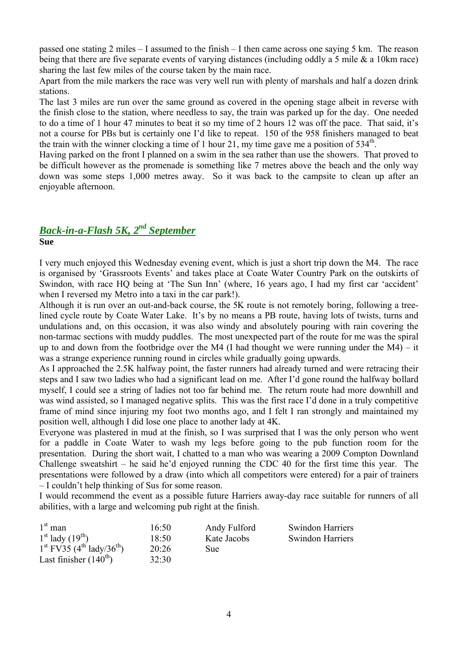passed one stating 2 miles – I assumed to the finish – I then came across one saying 5 km. The reason being that there are five separate events of varying distances (including oddly a 5 mile & a 10km race) sharing the last few miles of the course taken by the main race.

Apart from the mile markers the race was very well run with plenty of marshals and half a dozen drink stations.

The last 3 miles are run over the same ground as covered in the opening stage albeit in reverse with the finish close to the station, where needless to say, the train was parked up for the day. One needed to do a time of 1 hour 47 minutes to beat it so my time of 2 hours 12 was off the pace. That said, it's not a course for PBs but is certainly one I'd like to repeat. 150 of the 958 finishers managed to beat the train with the winner clocking a time of 1 hour 21, my time gave me a position of  $534<sup>th</sup>$ .

Having parked on the front I planned on a swim in the sea rather than use the showers. That proved to be difficult however as the promenade is something like 7 metres above the beach and the only way down was some steps 1,000 metres away. So it was back to the campsite to clean up after an enjoyable afternoon.

# *Back-in-a-Flash 5K, 2 nd September*

**Sue**

I very much enjoyed this Wednesday evening event, which is just a short trip down the M4. The race is organised by 'Grassroots Events' and takes place at Coate Water Country Park on the outskirts of Swindon, with race HQ being at 'The Sun Inn' (where, 16 years ago, I had my first car 'accident' when I reversed my Metro into a taxi in the car park!).

Although it is run over an out-and-back course, the 5K route is not remotely boring, following a treelined cycle route by Coate Water Lake. It's by no means a PB route, having lots of twists, turns and undulations and, on this occasion, it was also windy and absolutely pouring with rain covering the non-tarmac sections with muddy puddles. The most unexpected part of the route for me was the spiral up to and down from the footbridge over the M4 (I had thought we were running under the M4) – it was a strange experience running round in circles while gradually going upwards.

As I approached the 2.5K halfway point, the faster runners had already turned and were retracing their steps and I saw two ladies who had a significant lead on me. After I'd gone round the halfway bollard myself, I could see a string of ladies not too far behind me. The return route had more downhill and was wind assisted, so I managed negative splits. This was the first race I'd done in a truly competitive frame of mind since injuring my foot two months ago, and I felt I ran strongly and maintained my position well, although I did lose one place to another lady at 4K.

Everyone was plastered in mud at the finish, so I was surprised that I was the only person who went for a paddle in Coate Water to wash my legs before going to the pub function room for the presentation. During the short wait, I chatted to a man who was wearing a 2009 Compton Downland Challenge sweatshirt – he said he'd enjoyed running the CDC 40 for the first time this year. The presentations were followed by a draw (into which all competitors were entered) for a pair of trainers – I couldn't help thinking of Sus for some reason.

I would recommend the event as a possible future Harriers away-day race suitable for runners of all abilities, with a large and welcoming pub right at the finish.

| $1st$ man                         | 16:50 | Andy Fulford | <b>Swindon Harriers</b> |
|-----------------------------------|-------|--------------|-------------------------|
| $1st$ lady $(19th)$               | 18:50 | Kate Jacobs  | <b>Swindon Harriers</b> |
| $1st FV35 (4th' lady/36th)$       | 20:26 | Sue:         |                         |
| Last finisher $(140^{\text{th}})$ | 32:30 |              |                         |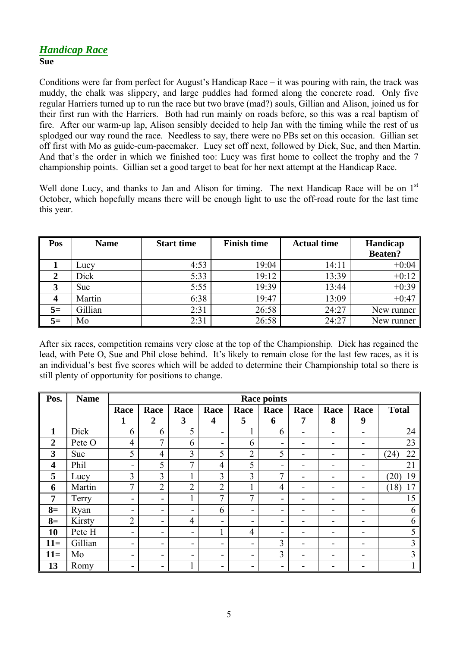## *Handicap Race* **Sue**

Conditions were far from perfect for August's Handicap Race – it was pouring with rain, the track was muddy, the chalk was slippery, and large puddles had formed along the concrete road. Only five regular Harriers turned up to run the race but two brave (mad?) souls, Gillian and Alison, joined us for their first run with the Harriers. Both had run mainly on roads before, so this was a real baptism of fire. After our warm-up lap, Alison sensibly decided to help Jan with the timing while the rest of us splodged our way round the race. Needless to say, there were no PBs set on this occasion. Gillian set off first with Mo as guide-cum-pacemaker. Lucy set off next, followed by Dick, Sue, and then Martin. And that's the order in which we finished too: Lucy was first home to collect the trophy and the 7 championship points. Gillian set a good target to beat for her next attempt at the Handicap Race.

Well done Lucy, and thanks to Jan and Alison for timing. The next Handicap Race will be on 1<sup>st</sup> October, which hopefully means there will be enough light to use the off-road route for the last time this year.

| Pos  | <b>Name</b> | <b>Start time</b> | <b>Finish time</b> | <b>Actual time</b> | Handicap       |
|------|-------------|-------------------|--------------------|--------------------|----------------|
|      |             |                   |                    |                    | <b>Beaten?</b> |
|      | Lucy        | 4:53              | 19:04              | 14:11              | $+0:04$        |
|      | Dick        | 5:33              | 19:12              | 13:39              | $+0:12$        |
| 3    | <b>Sue</b>  | 5:55              | 19:39              | 13:44              | $+0:39$        |
|      | Martin      | 6:38              | 19:47              | 13:09              | $+0:47$        |
| $5=$ | Gillian     | 2:31              | 26:58              | 24:27              | New runner     |
| $5=$ | Mo          | 2:31              | 26:58              | 24:27              | New runner     |

After six races, competition remains very close at the top of the Championship. Dick has regained the lead, with Pete O, Sue and Phil close behind. It's likely to remain close for the last few races, as it is an individual's best five scores which will be added to determine their Championship total so there is still plenty of opportunity for positions to change.

| Pos.                    | <b>Name</b> | <b>Race points</b>       |                          |                          |                         |                |                |                |      |                          |              |
|-------------------------|-------------|--------------------------|--------------------------|--------------------------|-------------------------|----------------|----------------|----------------|------|--------------------------|--------------|
|                         |             | Race                     | Race                     | Race                     | Race                    | Race           | Race           | Race           | Race | Race                     | <b>Total</b> |
|                         |             | 1                        | $\overline{2}$           | 3                        | $\overline{\mathbf{4}}$ | 5              | 6              | $\overline{7}$ | 8    | 9                        |              |
| 1                       | Dick        | 6                        | 6                        | 5                        | -                       |                | 6              | -              |      | $\blacksquare$           | 24           |
| $\overline{2}$          | Pete O      | $\overline{4}$           | 7                        | 6                        | Ξ.                      | 6              | -              |                |      | $\overline{\phantom{0}}$ | 23           |
| 3                       | Sue         | 5                        | $\overline{4}$           | $\overline{3}$           | 5                       | $\overline{2}$ | 5              |                |      | $\overline{\phantom{0}}$ | 22<br>(24)   |
| $\overline{\mathbf{4}}$ | Phil        | -                        | 5                        | $\overline{7}$           | $\overline{4}$          | 5              |                |                |      |                          | 21           |
| 5                       | Lucy        | 3                        | 3                        |                          | $\overline{3}$          | 3              | 7              |                |      | -                        | 19<br>(20)   |
| 6                       | Martin      | $\overline{7}$           | $\overline{2}$           | $\overline{2}$           | $\overline{2}$          |                | $\overline{4}$ |                |      | $\blacksquare$           | (18)<br>17   |
| $\overline{7}$          | Terry       | -                        | $\blacksquare$           |                          | 7                       | 7              | -              |                |      |                          | 15           |
| $8=$                    | Ryan        | -                        | $\blacksquare$           | $\overline{\phantom{a}}$ | 6                       | -              | -              |                |      | -                        | 6            |
| $8=$                    | Kirsty      | $\overline{2}$           | $\overline{\phantom{0}}$ | 4                        | -                       | ۰.             |                |                |      |                          | 6            |
| 10                      | Pete H      | $\overline{\phantom{a}}$ | -                        | $\blacksquare$           |                         | $\overline{4}$ |                |                |      |                          | 5            |
| $11=$                   | Gillian     | -                        | -                        | -                        | -                       | -              | 3              |                |      |                          | 3            |
| $11=$                   | Mo          | -                        | -                        | ۰                        | -                       | -              | 3              |                |      |                          | 3            |
| 13                      | Romy        | -                        | Ξ.                       |                          | -                       | -              |                |                |      |                          |              |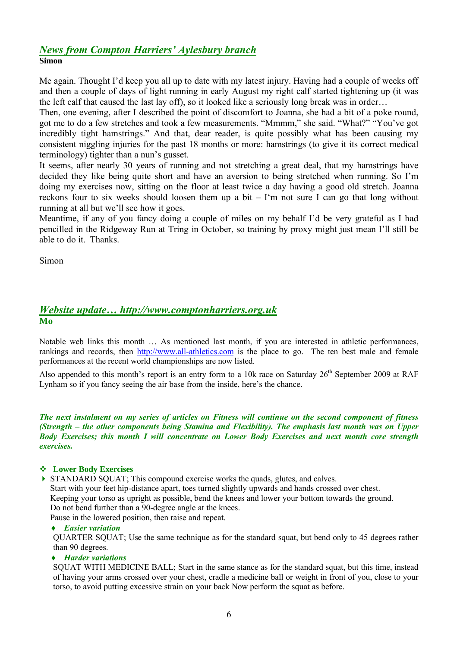## *News from Compton Harriers' Aylesbury branch* **Simon**

Me again. Thought I'd keep you all up to date with my latest injury. Having had a couple of weeks off and then a couple of days of light running in early August my right calf started tightening up (it was the left calf that caused the last lay off), so it looked like a seriously long break was in order…

Then, one evening, after I described the point of discomfort to Joanna, she had a bit of a poke round, got me to do a few stretches and took a few measurements. "Mmmm," she said. "What?" "You've got incredibly tight hamstrings." And that, dear reader, is quite possibly what has been causing my consistent niggling injuries for the past 18 months or more: hamstrings (to give it its correct medical terminology) tighter than a nun's gusset.

It seems, after nearly 30 years of running and not stretching a great deal, that my hamstrings have decided they like being quite short and have an aversion to being stretched when running. So I'm doing my exercises now, sitting on the floor at least twice a day having a good old stretch. Joanna reckons four to six weeks should loosen them up a bit – I'm not sure I can go that long without running at all but we'll see how it goes.

Meantime, if any of you fancy doing a couple of miles on my behalf I'd be very grateful as I had pencilled in the Ridgeway Run at Tring in October, so training by proxy might just mean I'll still be able to do it. Thanks.

Simon

## *Website update… http://www.comptonharriers.org.uk* **Mo**

Notable web links this month … As mentioned last month, if you are interested in athletic performances, rankings and records, then http://www.all-athletics.com is the place to go. The ten best male and female performances at the recent world championships are now listed.

Also appended to this month's report is an entry form to a 10k race on Saturday 26<sup>th</sup> September 2009 at RAF Lynham so if you fancy seeing the air base from the inside, here's the chance.

*The next instalment on my series of articles on Fitness will continue on the second component of fitness (Strength – the other components being Stamina and Flexibility). The emphasis last month was on Upper Body Exercises; this month I will concentrate on Lower Body Exercises and next month core strength exercises.*

#### **Lower Body Exercises**

 $\triangleright$  STANDARD SOUAT; This compound exercise works the quads, glutes, and calves. Start with your feet hip-distance apart, toes turned slightly upwards and hands crossed over chest. Keeping your torso as upright as possible, bend the knees and lower your bottom towards the ground. Do not bend further than a 90-degree angle at the knees.

Pause in the lowered position, then raise and repeat.

#### *Easier variation*

QUARTER SQUAT; Use the same technique as for the standard squat, but bend only to 45 degrees rather than 90 degrees.

#### *Harder variations*

SQUAT WITH MEDICINE BALL; Start in the same stance as for the standard squat, but this time, instead of having your arms crossed over your chest, cradle a medicine ball or weight in front of you, close to your torso, to avoid putting excessive strain on your back Now perform the squat as before.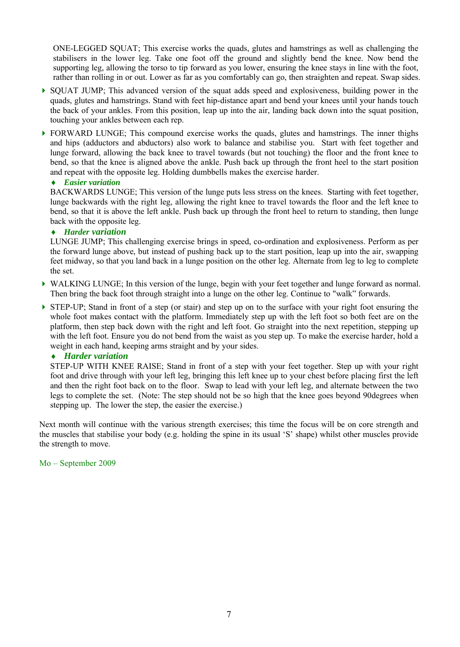ONE-LEGGED SQUAT; This exercise works the quads, glutes and hamstrings as well as challenging the stabilisers in the lower leg. Take one foot off the ground and slightly bend the knee. Now bend the supporting leg, allowing the torso to tip forward as you lower, ensuring the knee stays in line with the foot, rather than rolling in or out. Lower as far as you comfortably can go, then straighten and repeat. Swap sides.

- $\triangleright$  SOUAT JUMP: This advanced version of the squat adds speed and explosiveness, building power in the quads, glutes and hamstrings. Stand with feet hip-distance apart and bend your knees until your hands touch the back of your ankles. From this position, leap up into the air, landing back down into the squat position, touching your ankles between each rep.
- **FORWARD LUNGE:** This compound exercise works the quads, glutes and hamstrings. The inner thighs and hips (adductors and abductors) also work to balance and stabilise you. Start with feet together and lunge forward, allowing the back knee to travel towards (but not touching) the floor and the front knee to bend, so that the knee is aligned above the ankle. Push back up through the front heel to the start position and repeat with the opposite leg. Holding dumbbells makes the exercise harder.

#### *Easier variation*

BACKWARDS LUNGE; This version of the lunge puts less stress on the knees. Starting with feet together, lunge backwards with the right leg, allowing the right knee to travel towards the floor and the left knee to bend, so that it is above the left ankle. Push back up through the front heel to return to standing, then lunge back with the opposite leg.

#### *Harder variation*

LUNGE JUMP; This challenging exercise brings in speed, co-ordination and explosiveness. Perform as per the forward lunge above, but instead of pushing back up to the start position, leap up into the air, swapping feet midway, so that you land back in a lunge position on the other leg. Alternate from leg to leg to complete the set.

- WALKING LUNGE; In this version of the lunge, begin with your feet together and lunge forward as normal. Then bring the back foot through straight into a lunge on the other leg. Continue to "walk" forwards.
- STEP-UP; Stand in front of a step (or stair) and step up on to the surface with your right foot ensuring the whole foot makes contact with the platform. Immediately step up with the left foot so both feet are on the platform, then step back down with the right and left foot. Go straight into the next repetition, stepping up with the left foot. Ensure you do not bend from the waist as you step up. To make the exercise harder, hold a weight in each hand, keeping arms straight and by your sides.

#### *Harder variation*

STEP-UP WITH KNEE RAISE; Stand in front of a step with your feet together. Step up with your right foot and drive through with your left leg, bringing this left knee up to your chest before placing first the left and then the right foot back on to the floor. Swap to lead with your left leg, and alternate between the two legs to complete the set. (Note: The step should not be so high that the knee goes beyond 90degrees when stepping up. The lower the step, the easier the exercise.)

Next month will continue with the various strength exercises; this time the focus will be on core strength and the muscles that stabilise your body (e.g. holding the spine in its usual 'S' shape) whilst other muscles provide the strength to move.

#### Mo – September 2009